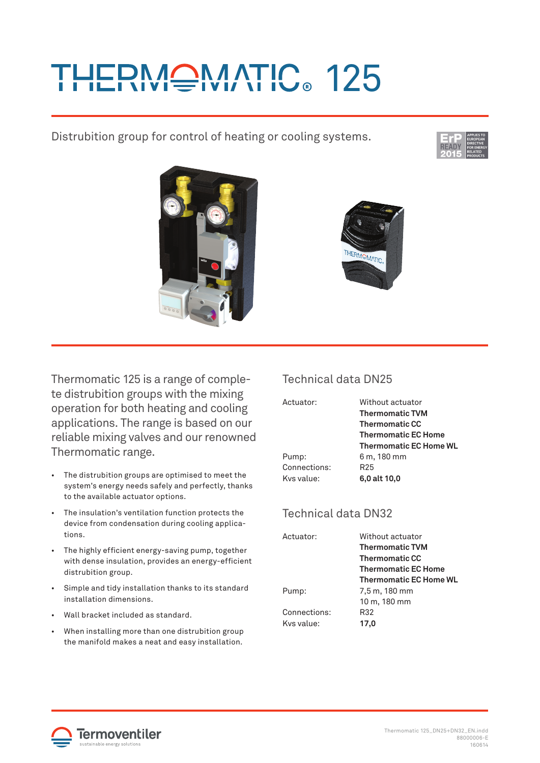# **IERMONATIC. 125**

Distrubition group for control of heating or cooling systems.







Thermomatic 125 is a range of complete distrubition groups with the mixing operation for both heating and cooling applications. The range is based on our reliable mixing valves and our renowned Thermomatic range.

- The distrubition groups are optimised to meet the system's energy needs safely and perfectly, thanks to the available actuator options.
- The insulation's ventilation function protects the device from condensation during cooling applications.
- The highly efficient energy-saving pump, together with dense insulation, provides an energy-efficient distrubition group.
- Simple and tidy installation thanks to its standard installation dimensions.
- Wall bracket included as standard.
- When installing more than one distrubition group the manifold makes a neat and easy installation.

## Technical data DN25

| Actuator:    | Without actuator              |
|--------------|-------------------------------|
|              | <b>Thermomatic TVM</b>        |
|              | <b>Thermomatic CC</b>         |
|              | <b>Thermomatic EC Home</b>    |
|              | <b>Thermomatic EC Home WL</b> |
| Pump:        | 6 m, 180 mm                   |
| Connections: | R <sub>25</sub>               |
| Kys value:   | 6,0 alt 10,0                  |
|              |                               |

## Technical data DN32

| Without actuator              |
|-------------------------------|
| <b>Thermomatic TVM</b>        |
| <b>Thermomatic CC</b>         |
| <b>Thermomatic EC Home</b>    |
| <b>Thermomatic EC Home WL</b> |
| 7,5 m, 180 mm                 |
| 10 m, 180 mm                  |
| R32                           |
| 17,0                          |
|                               |